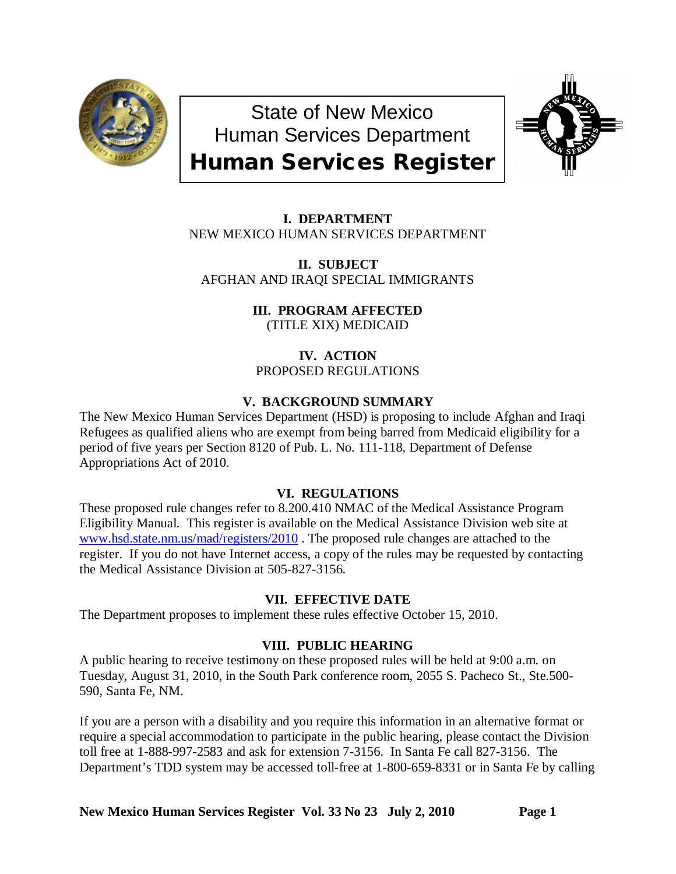

State of New Mexico Human Services Department Human Services Register



**I. DEPARTMENT** NEW MEXICO HUMAN SERVICES DEPARTMENT

**II. SUBJECT** AFGHAN AND IRAQI SPECIAL IMMIGRANTS

> **III. PROGRAM AFFECTED** (TITLE XIX) MEDICAID

**IV. ACTION** PROPOSED REGULATIONS

# **V. BACKGROUND SUMMARY**

The New Mexico Human Services Department (HSD) is proposing to include Afghan and Iraqi Refugees as qualified aliens who are exempt from being barred from Medicaid eligibility for a period of five years per Section 8120 of Pub. L. No. 111-118, Department of Defense Appropriations Act of 2010.

# **VI. REGULATIONS**

These proposed rule changes refer to 8.200.410 NMAC of the Medical Assistance Program Eligibility Manual. This register is available on the Medical Assistance Division web site at [www.hsd.state.nm.us/mad/registers/2010](http://www.hsd.state.nm.us/mad/registers/2010) . The proposed rule changes are attached to the register. If you do not have Internet access, a copy of the rules may be requested by contacting the Medical Assistance Division at 505-827-3156.

# **VII. EFFECTIVE DATE**

The Department proposes to implement these rules effective October 15, 2010.

# **VIII. PUBLIC HEARING**

A public hearing to receive testimony on these proposed rules will be held at 9:00 a.m. on Tuesday, August 31, 2010, in the South Park conference room, 2055 S. Pacheco St., Ste.500- 590, Santa Fe, NM.

If you are a person with a disability and you require this information in an alternative format or require a special accommodation to participate in the public hearing, please contact the Division toll free at 1-888-997-2583 and ask for extension 7-3156. In Santa Fe call 827-3156. The Department's TDD system may be accessed toll-free at 1-800-659-8331 or in Santa Fe by calling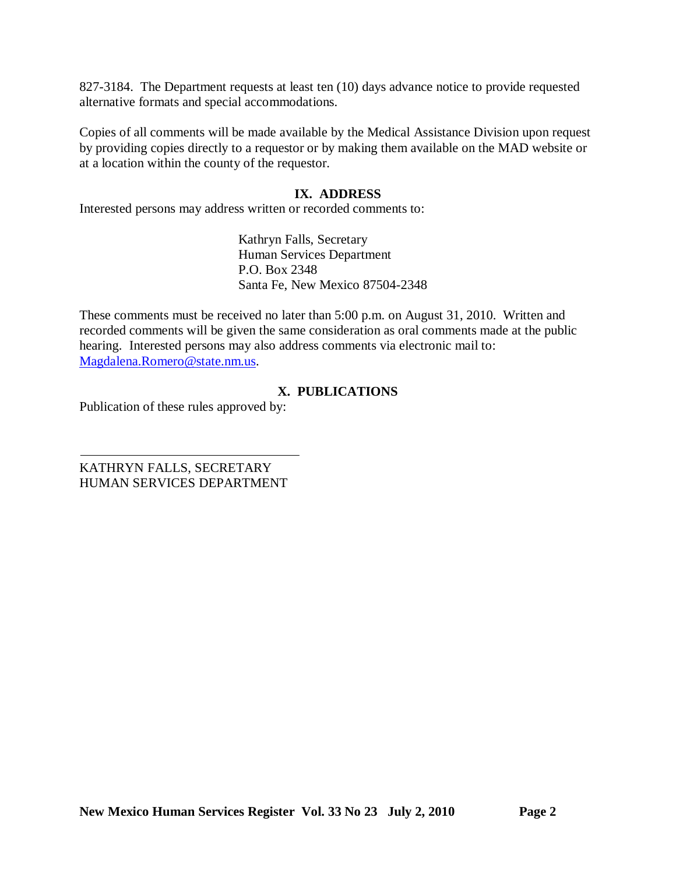827-3184. The Department requests at least ten (10) days advance notice to provide requested alternative formats and special accommodations.

Copies of all comments will be made available by the Medical Assistance Division upon request by providing copies directly to a requestor or by making them available on the MAD website or at a location within the county of the requestor.

## **IX. ADDRESS**

Interested persons may address written or recorded comments to:

Kathryn Falls, Secretary Human Services Department P.O. Box 2348 Santa Fe, New Mexico 87504-2348

These comments must be received no later than 5:00 p.m. on August 31, 2010. Written and recorded comments will be given the same consideration as oral comments made at the public hearing. Interested persons may also address comments via electronic mail to: [Magdalena.Romero@state.nm.us.](mailto:Magdalena.Romero@state.nm.us)

# **X. PUBLICATIONS**

Publication of these rules approved by:

KATHRYN FALLS, SECRETARY HUMAN SERVICES DEPARTMENT